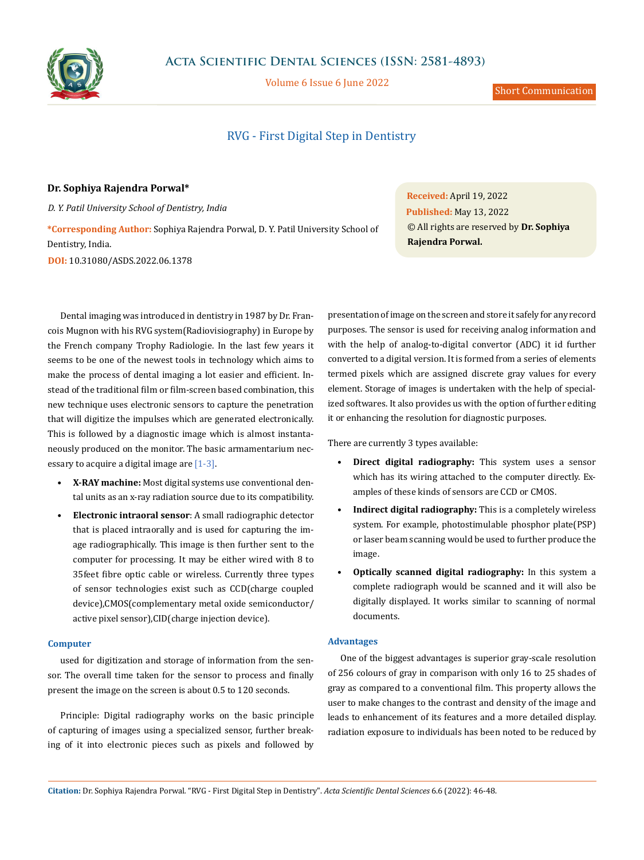

Volume 6 Issue 6 June 2022

# RVG - First Digital Step in Dentistry

## **Dr. Sophiya Rajendra Porwal\***

*D. Y. Patil University School of Dentistry, India*

**\*Corresponding Author:** Sophiya Rajendra Porwal, D. Y. Patil University School of Dentistry, India. **DOI:** [10.31080/ASDS.2022.06.1378](https://actascientific.com/ASDS/pdf/ASDS-06-1378.pdf)

Dental imaging was introduced in dentistry in 1987 by Dr. Francois Mugnon with his RVG system(Radiovisiography) in Europe by the French company Trophy Radiologie. In the last few years it seems to be one of the newest tools in technology which aims to make the process of dental imaging a lot easier and efficient. Instead of the traditional film or film-screen based combination, this new technique uses electronic sensors to capture the penetration that will digitize the impulses which are generated electronically. This is followed by a diagnostic image which is almost instantaneously produced on the monitor. The basic armamentarium necessary to acquire a digital image are [1-3].

- **• X-RAY machine:** Most digital systems use conventional dental units as an x-ray radiation source due to its compatibility.
- **• Electronic intraoral sensor**: A small radiographic detector that is placed intraorally and is used for capturing the image radiographically. This image is then further sent to the computer for processing. It may be either wired with 8 to 35feet fibre optic cable or wireless. Currently three types of sensor technologies exist such as CCD(charge coupled device),CMOS(complementary metal oxide semiconductor/ active pixel sensor),CID(charge injection device).

#### **Computer**

used for digitization and storage of information from the sensor. The overall time taken for the sensor to process and finally present the image on the screen is about 0.5 to 120 seconds.

Principle: Digital radiography works on the basic principle of capturing of images using a specialized sensor, further breaking of it into electronic pieces such as pixels and followed by

**Received:** April 19, 2022 **Published:** May 13, 2022 © All rights are reserved by **Dr. Sophiya Rajendra Porwal.**

presentation of image on the screen and store it safely for any record purposes. The sensor is used for receiving analog information and with the help of analog-to-digital convertor (ADC) it id further converted to a digital version. It is formed from a series of elements termed pixels which are assigned discrete gray values for every element. Storage of images is undertaken with the help of specialized softwares. It also provides us with the option of further editing it or enhancing the resolution for diagnostic purposes.

There are currently 3 types available:

- **• Direct digital radiography:** This system uses a sensor which has its wiring attached to the computer directly. Examples of these kinds of sensors are CCD or CMOS.
- **• Indirect digital radiography:** This is a completely wireless system. For example, photostimulable phosphor plate(PSP) or laser beam scanning would be used to further produce the image.
- **• Optically scanned digital radiography:** In this system a complete radiograph would be scanned and it will also be digitally displayed. It works similar to scanning of normal documents.

## **Advantages**

One of the biggest advantages is superior gray-scale resolution of 256 colours of gray in comparison with only 16 to 25 shades of gray as compared to a conventional film. This property allows the user to make changes to the contrast and density of the image and leads to enhancement of its features and a more detailed display. radiation exposure to individuals has been noted to be reduced by

**Citation:** Dr. Sophiya Rajendra Porwal*.* "RVG - First Digital Step in Dentistry". *Acta Scientific Dental Sciences* 6.6 (2022): 46-48.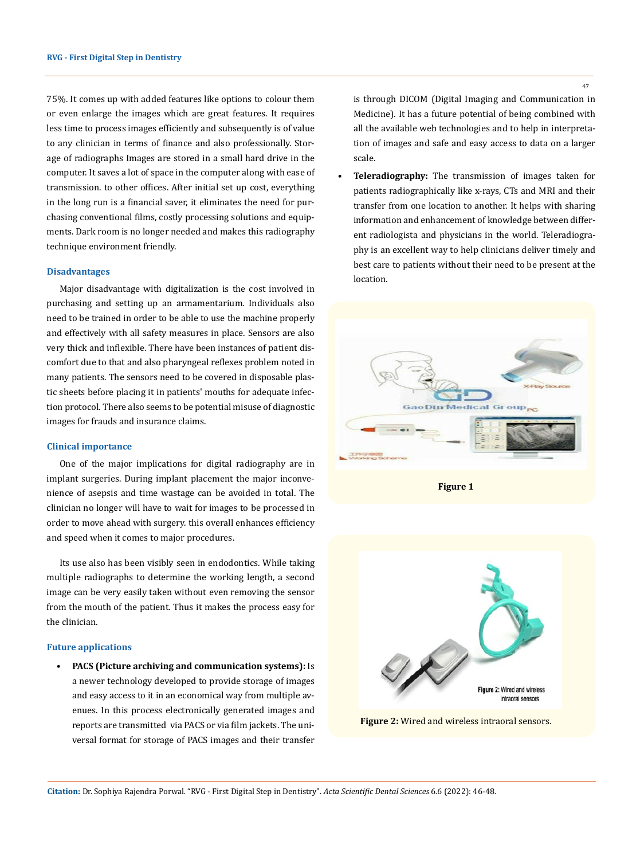75%. It comes up with added features like options to colour them or even enlarge the images which are great features. It requires less time to process images efficiently and subsequently is of value to any clinician in terms of finance and also professionally. Storage of radiographs Images are stored in a small hard drive in the computer. It saves a lot of space in the computer along with ease of transmission. to other offices. After initial set up cost, everything in the long run is a financial saver, it eliminates the need for purchasing conventional films, costly processing solutions and equipments. Dark room is no longer needed and makes this radiography technique environment friendly.

#### **Disadvantages**

Major disadvantage with digitalization is the cost involved in purchasing and setting up an armamentarium. Individuals also need to be trained in order to be able to use the machine properly and effectively with all safety measures in place. Sensors are also very thick and inflexible. There have been instances of patient discomfort due to that and also pharyngeal reflexes problem noted in many patients. The sensors need to be covered in disposable plastic sheets before placing it in patients' mouths for adequate infection protocol. There also seems to be potential misuse of diagnostic images for frauds and insurance claims.

#### **Clinical importance**

One of the major implications for digital radiography are in implant surgeries. During implant placement the major inconvenience of asepsis and time wastage can be avoided in total. The clinician no longer will have to wait for images to be processed in order to move ahead with surgery. this overall enhances efficiency and speed when it comes to major procedures.

Its use also has been visibly seen in endodontics. While taking multiple radiographs to determine the working length, a second image can be very easily taken without even removing the sensor from the mouth of the patient. Thus it makes the process easy for the clinician.

#### **Future applications**

**• PACS (Picture archiving and communication systems):** Is a newer technology developed to provide storage of images and easy access to it in an economical way from multiple avenues. In this process electronically generated images and reports are transmitted via PACS or via film jackets. The universal format for storage of PACS images and their transfer is through DICOM (Digital Imaging and Communication in Medicine). It has a future potential of being combined with all the available web technologies and to help in interpretation of images and safe and easy access to data on a larger scale.

**• Teleradiography:** The transmission of images taken for patients radiographically like x-rays, CTs and MRI and their transfer from one location to another. It helps with sharing information and enhancement of knowledge between different radiologista and physicians in the world. Teleradiography is an excellent way to help clinicians deliver timely and best care to patients without their need to be present at the location.





**Figure 2:** Wired and wireless intraoral sensors.